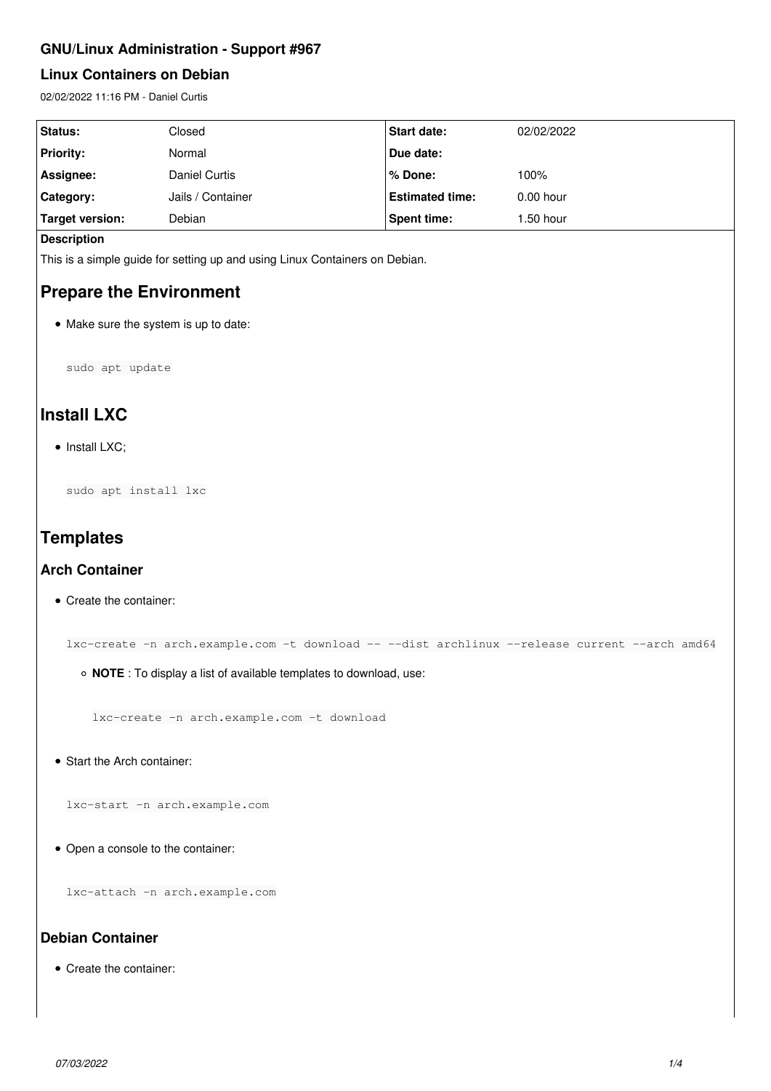## **GNU/Linux Administration - Support #967**

### **Linux Containers on Debian**

02/02/2022 11:16 PM - Daniel Curtis

| Status:          | Closed            | <b>Start date:</b>     | 02/02/2022  |
|------------------|-------------------|------------------------|-------------|
| <b>Priority:</b> | Normal            | Due date:              |             |
| Assignee:        | Daniel Curtis     | % Done:                | 100%        |
| <b>Category:</b> | Jails / Container | <b>Estimated time:</b> | $0.00$ hour |
| Target version:  | Debian            | Spent time:            | $1.50$ hour |

#### **Description**

This is a simple guide for setting up and using Linux Containers on Debian.

## **Prepare the Environment**

• Make sure the system is up to date:

sudo apt update

# **Install LXC**

 $\bullet$  Install LXC;

sudo apt install lxc

# **Templates**

#### **Arch Container**

• Create the container:

lxc-create -n arch.example.com -t download -- --dist archlinux --release current --arch amd64

**NOTE** : To display a list of available templates to download, use:

lxc-create -n arch.example.com -t download

• Start the Arch container:

lxc-start -n arch.example.com

Open a console to the container:

lxc-attach -n arch.example.com

## **Debian Container**

Create the container: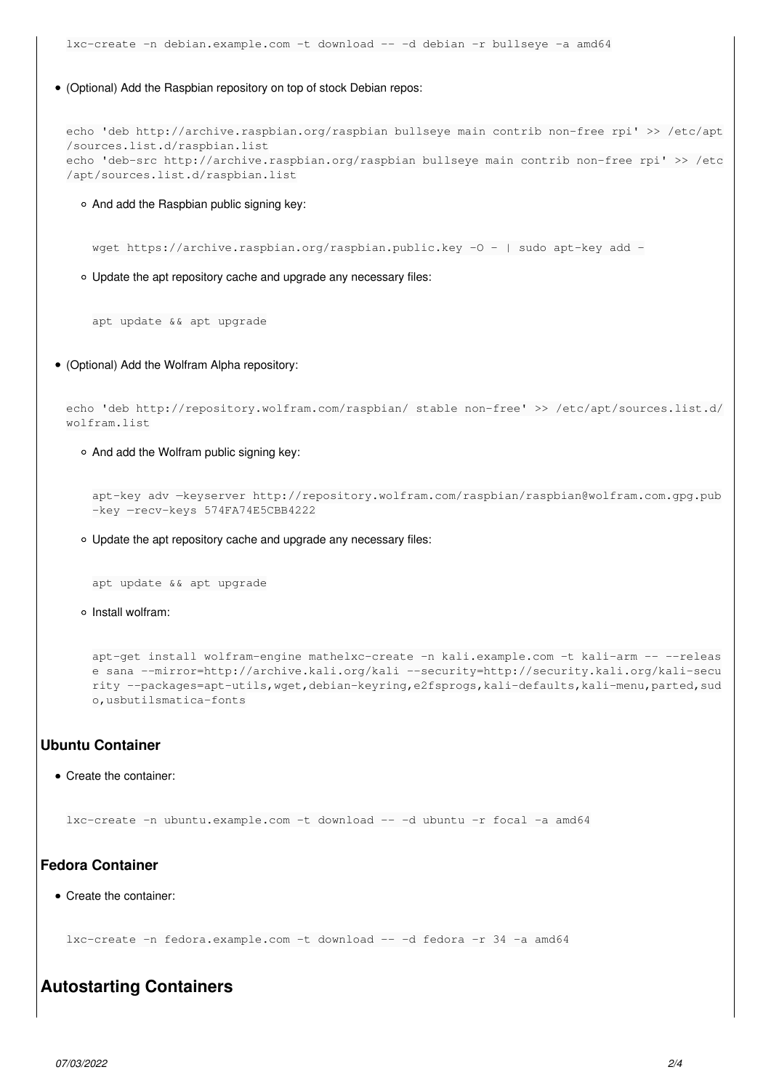(Optional) Add the Raspbian repository on top of stock Debian repos:

```
echo 'deb http://archive.raspbian.org/raspbian bullseye main contrib non-free rpi' >> /etc/apt
/sources.list.d/raspbian.list
echo 'deb-src http://archive.raspbian.org/raspbian bullseye main contrib non-free rpi' >> /etc
/apt/sources.list.d/raspbian.list
```
And add the Raspbian public signing key:

wget https://archive.raspbian.org/raspbian.public.key -0 - | sudo apt-key add -

Update the apt repository cache and upgrade any necessary files:

apt update && apt upgrade

(Optional) Add the Wolfram Alpha repository:

```
echo 'deb http://repository.wolfram.com/raspbian/ stable non-free' >> /etc/apt/sources.list.d/
wolfram.list
```
And add the Wolfram public signing key:

```
apt-key adv —keyserver http://repository.wolfram.com/raspbian/raspbian@wolfram.com.gpg.pub
-key —recv-keys 574FA74E5CBB4222
```
Update the apt repository cache and upgrade any necessary files:

```
apt update && apt upgrade
```
o Install wolfram:

```
apt-get install wolfram-engine mathelxc-create -n kali.example.com -t kali-arm -- --releas
e sana --mirror=http://archive.kali.org/kali --security=http://security.kali.org/kali-secu
rity --packages=apt-utils,wget,debian-keyring,e2fsprogs,kali-defaults,kali-menu,parted,sud
o,usbutilsmatica-fonts
```
### **Ubuntu Container**

Create the container:

lxc-create -n ubuntu.example.com -t download -- -d ubuntu -r focal -a amd64

#### **Fedora Container**

Create the container:

lxc-create -n fedora.example.com -t download -- -d fedora -r 34 -a amd64

## **Autostarting Containers**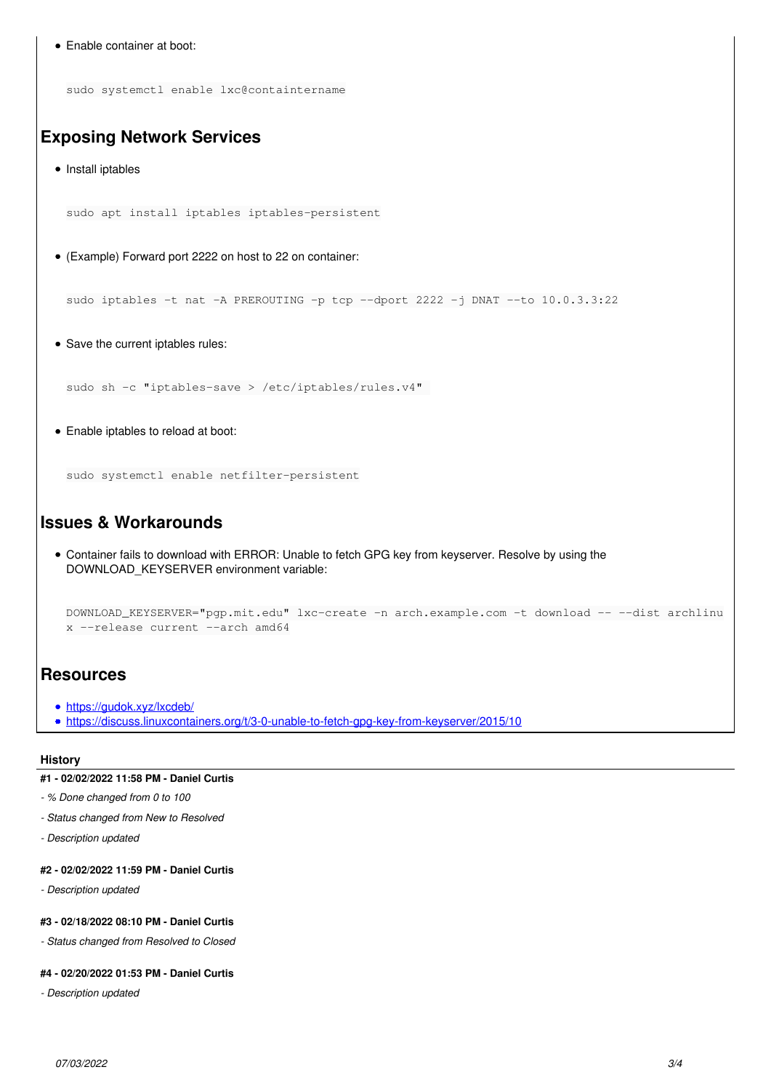```
Enable container at boot:
    sudo systemctl enable lxc@containtername
Exposing Network Services
  • Install iptables
    sudo apt install iptables iptables-persistent
  (Example) Forward port 2222 on host to 22 on container:
    sudo iptables -t nat -A PREROUTING -p tcp --dport 2222 -j DNAT --to 10.0.3.3:22
  • Save the current iptables rules:
    sudo sh -c "iptables-save > /etc/iptables/rules.v4"
  Enable iptables to reload at boot:
    sudo systemctl enable netfilter-persistent
Issues & Workarounds
  Container fails to download with ERROR: Unable to fetch GPG key from keyserver. Resolve by using the
    DOWNLOAD_KEYSERVER environment variable:
   DOWNLOAD_KEYSERVER="pgp.mit.edu" lxc-create -n arch.example.com -t download -- --dist archlinu
    x --release current --arch amd64
Resources
  https://gudok.xyz/lxcdeb/
  https://discuss.linuxcontainers.org/t/3-0-unable-to-fetch-gpg-key-from-keyserver/2015/10
```
#### **History**

#### **#1 - 02/02/2022 11:58 PM - Daniel Curtis**

*- % Done changed from 0 to 100*

- *Status changed from New to Resolved*
- *Description updated*

### **#2 - 02/02/2022 11:59 PM - Daniel Curtis**

*- Description updated*

#### **#3 - 02/18/2022 08:10 PM - Daniel Curtis**

*- Status changed from Resolved to Closed*

#### **#4 - 02/20/2022 01:53 PM - Daniel Curtis**

*- Description updated*